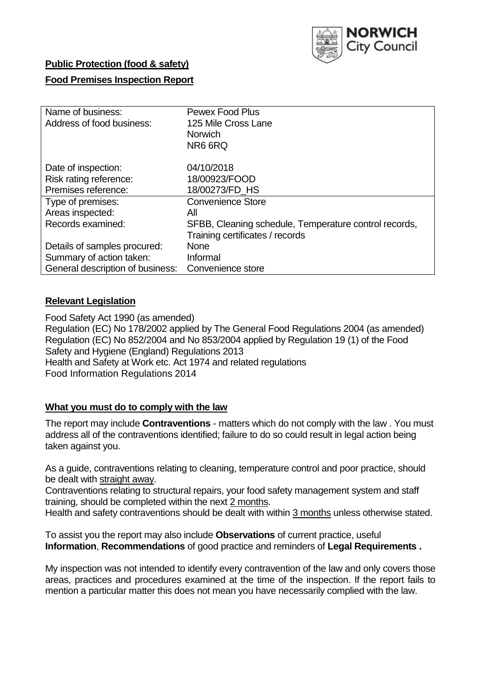

## **Public Protection (food & safety)**

## **Food Premises Inspection Report**

| Name of business:                | <b>Pewex Food Plus</b>                                |
|----------------------------------|-------------------------------------------------------|
| Address of food business:        | 125 Mile Cross Lane                                   |
|                                  | <b>Norwich</b>                                        |
|                                  | NR6 6RQ                                               |
| Date of inspection:              | 04/10/2018                                            |
| Risk rating reference:           | 18/00923/FOOD                                         |
| Premises reference:              | 18/00273/FD HS                                        |
| Type of premises:                | <b>Convenience Store</b>                              |
| Areas inspected:                 | All                                                   |
| Records examined:                | SFBB, Cleaning schedule, Temperature control records, |
|                                  | Training certificates / records                       |
| Details of samples procured:     | <b>None</b>                                           |
| Summary of action taken:         | Informal                                              |
| General description of business: | Convenience store                                     |

# **Relevant Legislation**

Food Safety Act 1990 (as amended) Regulation (EC) No 178/2002 applied by The General Food Regulations 2004 (as amended) Regulation (EC) No 852/2004 and No 853/2004 applied by Regulation 19 (1) of the Food Safety and Hygiene (England) Regulations 2013 Health and Safety at Work etc. Act 1974 and related regulations Food Information Regulations 2014

### **What you must do to comply with the law**

The report may include **Contraventions** - matters which do not comply with the law . You must address all of the contraventions identified; failure to do so could result in legal action being taken against you.

As a guide, contraventions relating to cleaning, temperature control and poor practice, should be dealt with straight away.

Contraventions relating to structural repairs, your food safety management system and staff training, should be completed within the next 2 months.

Health and safety contraventions should be dealt with within 3 months unless otherwise stated.

To assist you the report may also include **Observations** of current practice, useful **Information**, **Recommendations** of good practice and reminders of **Legal Requirements .**

My inspection was not intended to identify every contravention of the law and only covers those areas, practices and procedures examined at the time of the inspection. If the report fails to mention a particular matter this does not mean you have necessarily complied with the law.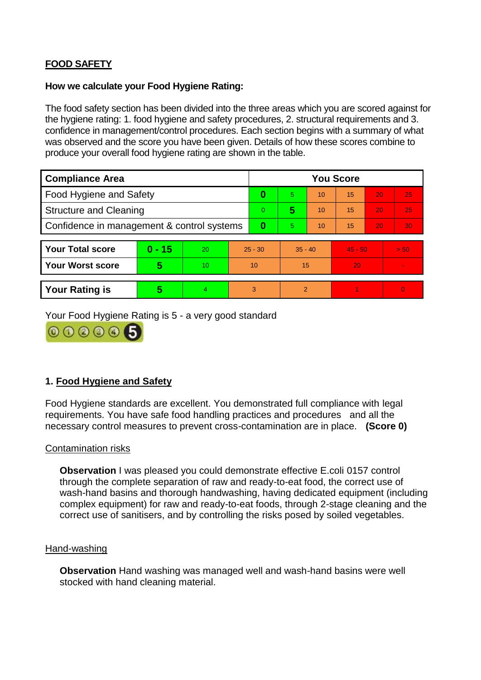# **FOOD SAFETY**

#### **How we calculate your Food Hygiene Rating:**

The food safety section has been divided into the three areas which you are scored against for the hygiene rating: 1. food hygiene and safety procedures, 2. structural requirements and 3. confidence in management/control procedures. Each section begins with a summary of what was observed and the score you have been given. Details of how these scores combine to produce your overall food hygiene rating are shown in the table.

| <b>Compliance Area</b>                     |          |    |           | <b>You Score</b> |                |    |           |    |          |  |  |
|--------------------------------------------|----------|----|-----------|------------------|----------------|----|-----------|----|----------|--|--|
| Food Hygiene and Safety                    |          |    |           | 0                | 5.             | 10 | 15        | 20 | 25       |  |  |
| <b>Structure and Cleaning</b>              |          |    | $\Omega$  | 5                | 10             | 15 | 20        | 25 |          |  |  |
| Confidence in management & control systems |          |    | 0         | 5                | 10             | 15 | 20        | 30 |          |  |  |
|                                            |          |    |           |                  |                |    |           |    |          |  |  |
| <b>Your Total score</b>                    | $0 - 15$ | 20 | $25 - 30$ |                  | $35 - 40$      |    | $45 - 50$ |    | > 50     |  |  |
| <b>Your Worst score</b>                    | 5        | 10 | 10        |                  | 15             |    | 20        |    |          |  |  |
|                                            |          |    |           |                  |                |    |           |    |          |  |  |
| <b>Your Rating is</b>                      | 5        | 4  | 3         |                  | $\overline{2}$ |    |           |    | $\Omega$ |  |  |

Your Food Hygiene Rating is 5 - a very good standard



# **1. Food Hygiene and Safety**

Food Hygiene standards are excellent. You demonstrated full compliance with legal requirements. You have safe food handling practices and procedures and all the necessary control measures to prevent cross-contamination are in place. **(Score 0)**

#### Contamination risks

**Observation** I was pleased you could demonstrate effective E.coli 0157 control through the complete separation of raw and ready-to-eat food, the correct use of wash-hand basins and thorough handwashing, having dedicated equipment (including complex equipment) for raw and ready-to-eat foods, through 2-stage cleaning and the correct use of sanitisers, and by controlling the risks posed by soiled vegetables.

#### Hand-washing

**Observation** Hand washing was managed well and wash-hand basins were well stocked with hand cleaning material.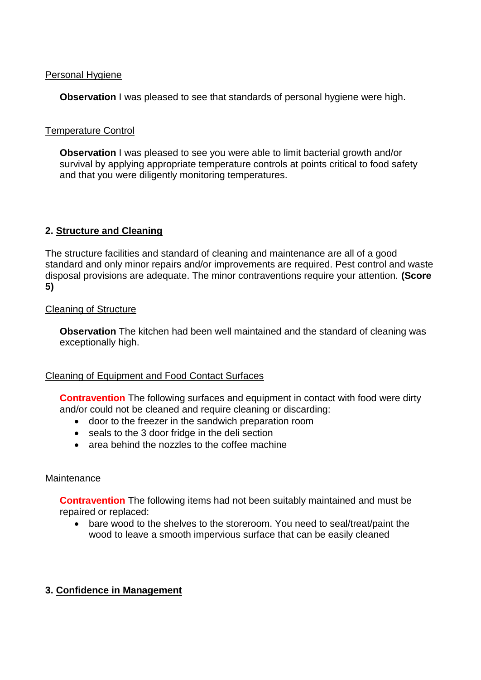### Personal Hygiene

**Observation** I was pleased to see that standards of personal hygiene were high.

## Temperature Control

**Observation** I was pleased to see you were able to limit bacterial growth and/or survival by applying appropriate temperature controls at points critical to food safety and that you were diligently monitoring temperatures.

# **2. Structure and Cleaning**

The structure facilities and standard of cleaning and maintenance are all of a good standard and only minor repairs and/or improvements are required. Pest control and waste disposal provisions are adequate. The minor contraventions require your attention. **(Score 5)**

## Cleaning of Structure

**Observation** The kitchen had been well maintained and the standard of cleaning was exceptionally high.

### Cleaning of Equipment and Food Contact Surfaces

**Contravention** The following surfaces and equipment in contact with food were dirty and/or could not be cleaned and require cleaning or discarding:

- door to the freezer in the sandwich preparation room
- seals to the 3 door fridge in the deli section
- area behind the nozzles to the coffee machine

# **Maintenance**

**Contravention** The following items had not been suitably maintained and must be repaired or replaced:

 bare wood to the shelves to the storeroom. You need to seal/treat/paint the wood to leave a smooth impervious surface that can be easily cleaned

# **3. Confidence in Management**